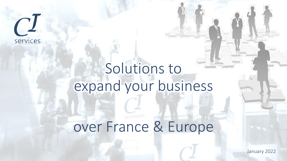

## Solutions to expand your business

## services over France & Europe

January 2022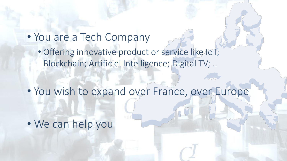- You are a Tech Company
	- Offering innovative product or service like IoT; Blockchain; Artificiel Intelligence; Digital TV; ..

• You wish to expand over France, over Europe

• We can help you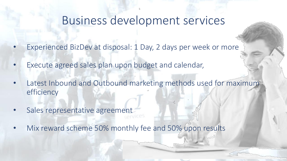## Business development services

- Experienced BizDev at disposal: 1 Day, 2 days per week or more
- Execute agreed sales plan upon budget and calendar,
- Latest Inbound and Outbound marketing methods used for maximum efficiency
- Sales representative agreement
- Mix reward scheme 50% monthly fee and 50% upon results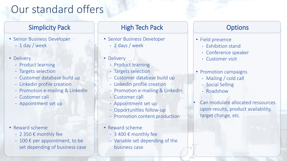## Our standard offers

- Senior Business Developer
	- 1 day / week
- Delivery
	- Product learning
	- Targets selection
	- Customer database build up
	- Linkedin profile creation
	- Promotion e-mailing & LinkedIn
	- Customer call
	- Appointment set up

- Reward scheme
	- 2 350 € monthly fee
	- $-100 \epsilon$  per appointment, to be set depending of business case

### Simplicity Pack High Tech Pack Options

- Senior Business Developer
	- 2 days / week
- Delivery
	- Product learning
	- Targets selection
	- Customer database build up
	- Linkedin profile creation
	- Promotion e-mailing & LinkedIn
	- Customer call
	- Appointment set up
	- Opportunities follow-up
	- Promotion content production
- Reward scheme
	- 3 400 € monthly fee
	- Variable set depending of the business case

- Field presence
	- Exhibition stand
	- Conference speaker
	- Customer visit
- Promotion campaigns
	- Mailing / cold call
	- Social Selling
	- Roadshow
- Can modulate allocated ressources upon results, product availability, target change, etc.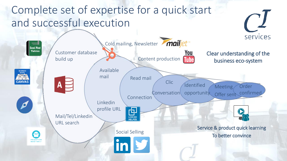## Complete set of expertise for a quick start and successful execution

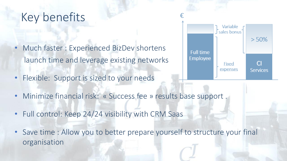## Key benefits

- Much faster : Experienced BizDev shortens launch time and leverage existing networks
- Flexible: Support is sized to your needs
- Minimize financial risk: « Success fee » results base support
- Full control: Keep 24/24 visibility with CRM Saas
- Save time : Allow you to better prepare yourself to structure your final organisation

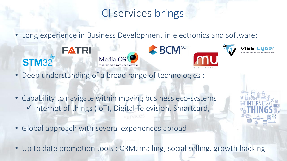## CI services brings

• Long experience in Business Development in electronics and software:



- Deep understanding of a broad range of technologies :
- Capability to navigate within moving business eco-systems : ✓ Internet of things (IoT), Digital Television, Smartcard,
- Global approach with several experiences abroad
- Up to date promotion tools : CRM, mailing, social selling, growth hacking